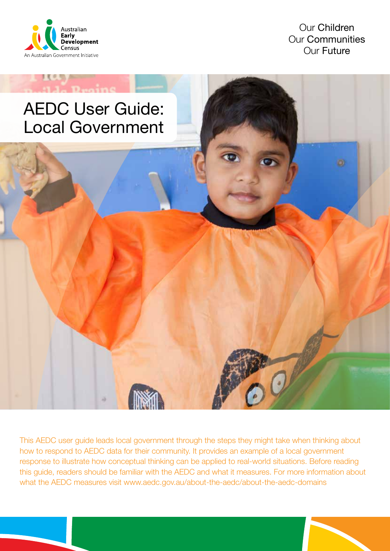

 $1(0, 0)$ 

Our Children Our Communities Our Future

# AEDC User Guide: Local Government

This AEDC user guide leads local government through the steps they might take when thinking about how to respond to AEDC data for their community. It provides an example of a local government response to illustrate how conceptual thinking can be applied to real-world situations. Before reading this guide, readers should be familiar with the AEDC and what it measures. For more information about what the AEDC measures visit www.aedc.gov.au/about-the-aedc/about-the-aedc-domains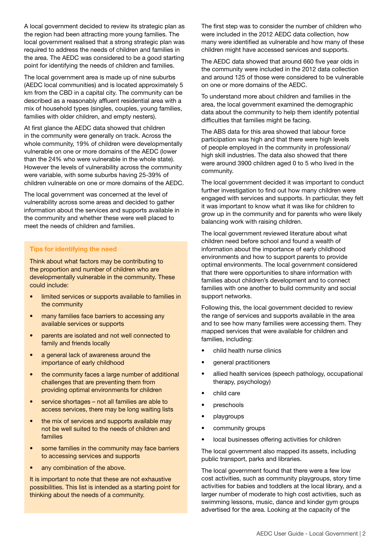A local government decided to review its strategic plan as the region had been attracting more young families. The local government realised that a strong strategic plan was required to address the needs of children and families in the area. The AEDC was considered to be a good starting point for identifying the needs of children and families.

The local government area is made up of nine suburbs (AEDC local communities) and is located approximately 5 km from the CBD in a capital city. The community can be described as a reasonably affluent residential area with a mix of household types (singles, couples, young families, families with older children, and empty nesters).

At first glance the AEDC data showed that children in the community were generally on track. Across the whole community, 19% of children were developmentally vulnerable on one or more domains of the AEDC (lower than the 24% who were vulnerable in the whole state). However the levels of vulnerability across the community were variable, with some suburbs having 25-39% of children vulnerable on one or more domains of the AEDC.

The local government was concerned at the level of vulnerability across some areas and decided to gather information about the services and supports available in the community and whether these were well placed to meet the needs of children and families.

#### Tips for identifying the need

Think about what factors may be contributing to the proportion and number of children who are developmentally vulnerable in the community. These could include:

- limited services or supports available to families in the community
- many families face barriers to accessing any available services or supports
- parents are isolated and not well connected to family and friends locally
- a general lack of awareness around the importance of early childhood
- the community faces a large number of additional challenges that are preventing them from providing optimal environments for children
- service shortages not all families are able to access services, there may be long waiting lists
- the mix of services and supports available may not be well suited to the needs of children and families
- some families in the community may face barriers to accessing services and supports
- any combination of the above.

It is important to note that these are not exhaustive possibilities. This list is intended as a starting point for thinking about the needs of a community.

The first step was to consider the number of children who were included in the 2012 AEDC data collection, how many were identified as vulnerable and how many of these children might have accessed services and supports.

The AEDC data showed that around 660 five year olds in the community were included in the 2012 data collection and around 125 of those were considered to be vulnerable on one or more domains of the AEDC.

To understand more about children and families in the area, the local government examined the demographic data about the community to help them identify potential difficulties that families might be facing.

The ABS data for this area showed that labour force participation was high and that there were high levels of people employed in the community in professional/ high skill industries. The data also showed that there were around 3900 children aged 0 to 5 who lived in the community.

The local government decided it was important to conduct further investigation to find out how many children were engaged with services and supports. In particular, they felt it was important to know what it was like for children to grow up in the community and for parents who were likely balancing work with raising children.

The local government reviewed literature about what children need before school and found a wealth of information about the importance of early childhood environments and how to support parents to provide optimal environments. The local government considered that there were opportunities to share information with families about children's development and to connect families with one another to build community and social support networks.

Following this, the local government decided to review the range of services and supports available in the area and to see how many families were accessing them. They mapped services that were available for children and families, including:

- child health nurse clinics
- general practitioners
- allied health services (speech pathology, occupational therapy, psychology)
- child care
- preschools
- playgroups
- community groups
- local businesses offering activities for children

The local government also mapped its assets, including public transport, parks and libraries.

The local government found that there were a few low cost activities, such as community playgroups, story time activities for babies and toddlers at the local library, and a larger number of moderate to high cost activities, such as swimming lessons, music, dance and kinder gym groups advertised for the area. Looking at the capacity of the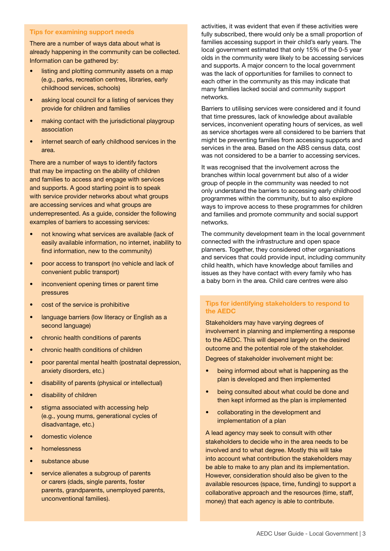#### Tips for examining support needs

There are a number of ways data about what is already happening in the community can be collected. Information can be gathered by:

- listing and plotting community assets on a map (e.g., parks, recreation centres, libraries, early childhood services, schools)
- asking local council for a listing of services they provide for children and families
- making contact with the jurisdictional playgroup association
- internet search of early childhood services in the area.

There are a number of ways to identify factors that may be impacting on the ability of children and families to access and engage with services and supports. A good starting point is to speak with service provider networks about what groups are accessing services and what groups are underrepresented. As a guide, consider the following examples of barriers to accessing services:

- not knowing what services are available (lack of easily available information, no internet, inability to find information, new to the community)
- poor access to transport (no vehicle and lack of convenient public transport)
- inconvenient opening times or parent time pressures
- cost of the service is prohibitive
- language barriers (low literacy or English as a second language)
- chronic health conditions of parents
- chronic health conditions of children
- poor parental mental health (postnatal depression, anxiety disorders, etc.)
- disability of parents (physical or intellectual)
- disability of children
- stigma associated with accessing help (e.g., young mums, generational cycles of disadvantage, etc.)
- domestic violence
- homelessness
- substance abuse
- service alienates a subgroup of parents or carers (dads, single parents, foster parents, grandparents, unemployed parents, unconventional families).

activities, it was evident that even if these activities were fully subscribed, there would only be a small proportion of families accessing support in their child's early years. The local government estimated that only 15% of the 0-5 year olds in the community were likely to be accessing services and supports. A major concern to the local government was the lack of opportunities for families to connect to each other in the community as this may indicate that many families lacked social and community support networks.

Barriers to utilising services were considered and it found that time pressures, lack of knowledge about available services, inconvenient operating hours of services, as well as service shortages were all considered to be barriers that might be preventing families from accessing supports and services in the area. Based on the ABS census data, cost was not considered to be a barrier to accessing services.

It was recognised that the involvement across the branches within local government but also of a wider group of people in the community was needed to not only understand the barriers to accessing early childhood programmes within the community, but to also explore ways to improve access to these programmes for children and families and promote community and social support networks.

The community development team in the local government connected with the infrastructure and open space planners. Together, they considered other organisations and services that could provide input, including community child health, which have knowledge about families and issues as they have contact with every family who has a baby born in the area. Child care centres were also

### Tips for identifying stakeholders to respond to the AEDC

Stakeholders may have varying degrees of involvement in planning and implementing a response to the AEDC. This will depend largely on the desired outcome and the potential role of the stakeholder.

Degrees of stakeholder involvement might be:

- being informed about what is happening as the plan is developed and then implemented
- being consulted about what could be done and then kept informed as the plan is implemented
- collaborating in the development and implementation of a plan

A lead agency may seek to consult with other stakeholders to decide who in the area needs to be involved and to what degree. Mostly this will take into account what contribution the stakeholders may be able to make to any plan and its implementation. However, consideration should also be given to the available resources (space, time, funding) to support a collaborative approach and the resources (time, staff, money) that each agency is able to contribute.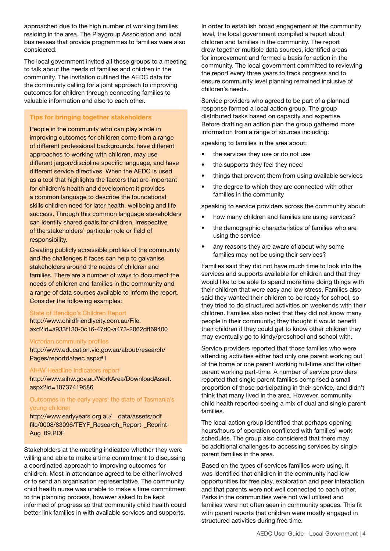approached due to the high number of working families residing in the area. The Playgroup Association and local businesses that provide programmes to families were also considered.

The local government invited all these groups to a meeting to talk about the needs of families and children in the community. The invitation outlined the AEDC data for the community calling for a joint approach to improving outcomes for children through connecting families to valuable information and also to each other.

### Tips for bringing together stakeholders

People in the community who can play a role in improving outcomes for children come from a range of different professional backgrounds, have different approaches to working with children, may use different jargon/discipline specific language, and have different service directives. When the AEDC is used as a tool that highlights the factors that are important for children's health and development it provides a common language to describe the foundational skills children need for later health, wellbeing and life success. Through this common language stakeholders can identify shared goals for children, irrespective of the stakeholders' particular role or field of responsibility.

Creating publicly accessible profiles of the community and the challenges it faces can help to galvanise stakeholders around the needs of children and families. There are a number of ways to document the needs of children and families in the community and a range of data sources available to inform the report. Consider the following examples:

#### State of Bendigo's Children Report

http://www.childfriendlycity.com.au/File. axd?id=a933f130-0c16-47d0-a473-2062dff69400

#### Victorian community profiles

http://www.education.vic.gov.au/about/research/ Pages/reportdataec.aspx#1

#### AIHW Headline Indicators report

http://www.aihw.gov.au/WorkArea/DownloadAsset. aspx?id=10737419586

#### Outcomes in the early years: the state of Tasmania's young children

http://www.earlyyears.org.au/\_\_data/assets/pdf\_ file/0008/83096/TEYF\_Research\_Report-\_Reprint-Aug\_09.PDF

Stakeholders at the meeting indicated whether they were willing and able to make a time commitment to discussing a coordinated approach to improving outcomes for children. Most in attendance agreed to be either involved or to send an organisation representative. The community child health nurse was unable to make a time commitment to the planning process, however asked to be kept informed of progress so that community child health could better link families in with available services and supports.

In order to establish broad engagement at the community level, the local government compiled a report about children and families in the community. The report drew together multiple data sources, identified areas for improvement and formed a basis for action in the community. The local government committed to reviewing the report every three years to track progress and to ensure community level planning remained inclusive of children's needs.

Service providers who agreed to be part of a planned response formed a local action group. The group distributed tasks based on capacity and expertise. Before drafting an action plan the group gathered more information from a range of sources including:

speaking to families in the area about:

- the services they use or do not use
- the supports they feel they need
- things that prevent them from using available services
- the degree to which they are connected with other families in the community

speaking to service providers across the community about:

- how many children and families are using services?
- the demographic characteristics of families who are using the service
- any reasons they are aware of about why some families may not be using their services?

Families said they did not have much time to look into the services and supports available for children and that they would like to be able to spend more time doing things with their children that were easy and low stress. Families also said they wanted their children to be ready for school, so they tried to do structured activities on weekends with their children. Families also noted that they did not know many people in their community; they thought it would benefit their children if they could get to know other children they may eventually go to kindy/preschool and school with.

Service providers reported that those families who were attending activities either had only one parent working out of the home or one parent working full-time and the other parent working part-time. A number of service providers reported that single parent families comprised a small proportion of those participating in their service, and didn't think that many lived in the area. However, community child health reported seeing a mix of dual and single parent families.

The local action group identified that perhaps opening hours/hours of operation conflicted with families' work schedules. The group also considered that there may be additional challenges to accessing services by single parent families in the area.

Based on the types of services families were using, it was identified that children in the community had low opportunities for free play, exploration and peer interaction and that parents were not well connected to each other. Parks in the communities were not well utilised and families were not often seen in community spaces. This fit with parent reports that children were mostly engaged in structured activities during free time.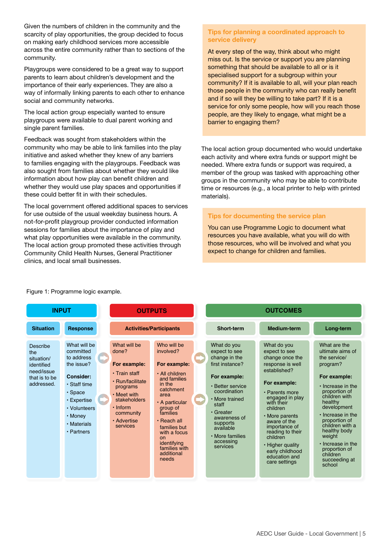Given the numbers of children in the community and the scarcity of play opportunities, the group decided to focus on making early childhood services more accessible across the entire community rather than to sections of the community.

Playgroups were considered to be a great way to support parents to learn about children's development and the importance of their early experiences. They are also a way of informally linking parents to each other to enhance social and community networks.

The local action group especially wanted to ensure playgroups were available to dual parent working and single parent families.

Feedback was sought from stakeholders within the community who may be able to link families into the play initiative and asked whether they knew of any barriers to families engaging with the playgroups. Feedback was also sought from families about whether they would like information about how play can benefit children and whether they would use play spaces and opportunities if these could better fit in with their schedules.

The local government offered additional spaces to services for use outside of the usual weekday business hours. A not-for-profit playgroup provider conducted information sessions for families about the importance of play and what play opportunities were available in the community. The local action group promoted these activities through Community Child Health Nurses, General Practitioner clinics, and local small businesses.

# Tips for planning a coordinated approach to service delivery

At every step of the way, think about who might miss out. Is the service or support you are planning something that should be available to all or is it specialised support for a subgroup within your community? If it is available to all, will your plan reach those people in the community who can really benefit and if so will they be willing to take part? If it is a service for only some people, how will you reach those people, are they likely to engage, what might be a barrier to engaging them?

The local action group documented who would undertake each activity and where extra funds or support might be needed. Where extra funds or support was required, a member of the group was tasked with approaching other groups in the community who may be able to contribute time or resources (e.g., a local printer to help with printed materials).

# Tips for documenting the service plan

You can use Programme Logic to document what resources you have available, what you will do with those resources, who will be involved and what you expect to change for children and families.



### Figure 1: Programme logic example.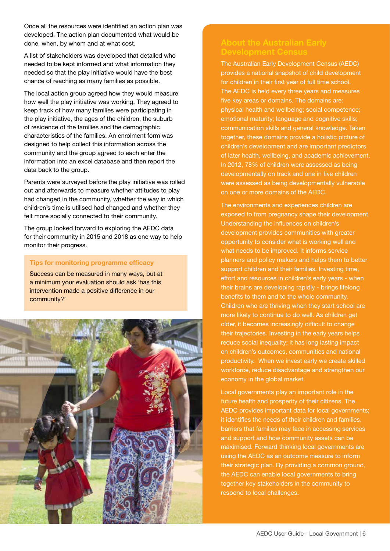Once all the resources were identified an action plan was developed. The action plan documented what would be done, when, by whom and at what cost.

A list of stakeholders was developed that detailed who needed to be kept informed and what information they needed so that the play initiative would have the best chance of reaching as many families as possible.

The local action group agreed how they would measure how well the play initiative was working. They agreed to keep track of how many families were participating in the play initiative, the ages of the children, the suburb of residence of the families and the demographic characteristics of the families. An enrolment form was designed to help collect this information across the community and the group agreed to each enter the information into an excel database and then report the data back to the group.

Parents were surveyed before the play initiative was rolled out and afterwards to measure whether attitudes to play had changed in the community, whether the way in which children's time is utilised had changed and whether they felt more socially connected to their community.

The group looked forward to exploring the AEDC data for their community in 2015 and 2018 as one way to help monitor their progress.

#### Tips for monitoring programme efficacy

Success can be measured in many ways, but at a minimum your evaluation should ask 'has this intervention made a positive difference in our community?'



The Australian Early Development Census (AEDC) provides a national snapshot of child development for children in their first year of full time school. The AEDC is held every three years and measures five key areas or domains. The domains are: physical health and wellbeing; social competence; emotional maturity; language and cognitive skills; communication skills and general knowledge. Taken together, these domains provide a holistic picture of children's development and are important predictors of later health, wellbeing, and academic achievement. In 2012, 78% of children were assessed as being developmentally on track and one in five children were assessed as being developmentally vulnerable on one or more domains of the AEDC.

The environments and experiences children are exposed to from pregnancy shape their development. Understanding the influences on children's development provides communities with greater opportunity to consider what is working well and what needs to be improved. It informs service planners and policy makers and helps them to better support children and their families. Investing time, effort and resources in children's early years - when their brains are developing rapidly - brings lifelong benefits to them and to the whole community. Children who are thriving when they start school are more likely to continue to do well. As children get older, it becomes increasingly difficult to change their trajectories. Investing in the early years helps reduce social inequality; it has long lasting impact on children's outcomes, communities and national productivity. When we invest early we create skilled workforce, reduce disadvantage and strengthen our economy in the global market.

Local governments play an important role in the future health and prosperity of their citizens. The AEDC provides important data for local governments; it identifies the needs of their children and families, barriers that families may face in accessing services and support and how community assets can be maximised. Forward thinking local governments are using the AEDC as an outcome measure to inform their strategic plan. By providing a common ground, the AEDC can enable local governments to bring together key stakeholders in the community to respond to local challenges.